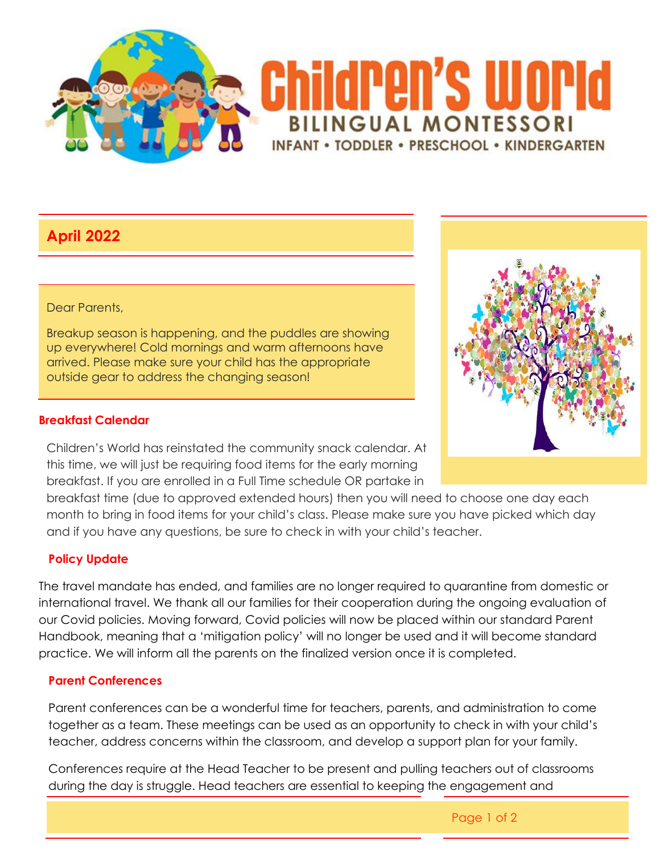

# **April 2022**

#### Dear Parents,

Breakup season is happening, and the puddles are showing up everywhere! Cold mornings and warm afternoons have arrived. Please make sure your child has the appropriate outside gear to address the changing season!

### **Breakfast Calendar**

Children's World has reinstated the community snack calendar. At this time, we will just be requiring food items for the early morning breakfast. If you are enrolled in a Full Time schedule OR partake in

breakfast time (due to approved extended hours) then you will need to choose one day each month to bring in food items for your child's class. Please make sure you have picked which day and if you have any questions, be sure to check in with your child's teacher.

## **Policy Update**

The travel mandate has ended, and families are no longer required to quarantine from domestic or international travel. We thank all our families for their cooperation during the ongoing evaluation of our Covid policies. Moving forward, Covid policies will now be placed within our standard Parent Handbook, meaning that a 'mitigation policy' will no longer be used and it will become standard practice. We will inform all the parents on the finalized version once it is completed.

#### **Parent Conferences**

Parent conferences can be a wonderful time for teachers, parents, and administration to come together as a team. These meetings can be used as an opportunity to check in with your child's teacher, address concerns within the classroom, and develop a support plan for your family.

Conferences require at the Head Teacher to be present and pulling teachers out of classrooms during the day is struggle. Head teachers are essential to keeping the engagement and